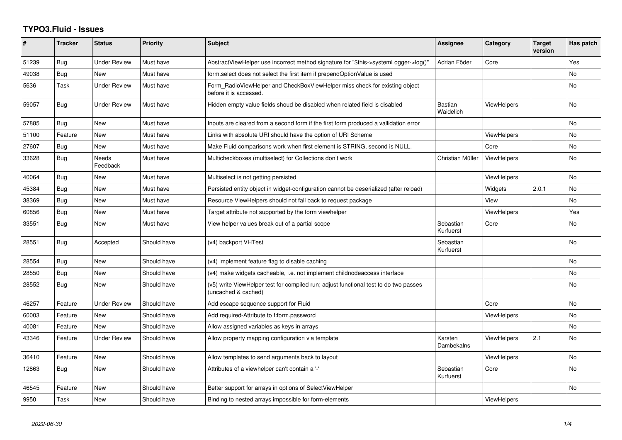## **TYPO3.Fluid - Issues**

| #     | <b>Tracker</b> | <b>Status</b>       | <b>Priority</b> | <b>Subject</b>                                                                                              | <b>Assignee</b>        | Category           | <b>Target</b><br>version | Has patch |
|-------|----------------|---------------------|-----------------|-------------------------------------------------------------------------------------------------------------|------------------------|--------------------|--------------------------|-----------|
| 51239 | Bug            | <b>Under Review</b> | Must have       | AbstractViewHelper use incorrect method signature for "\$this->systemLogger->log()"                         | Adrian Föder           | Core               |                          | Yes       |
| 49038 | Bug            | New                 | Must have       | form.select does not select the first item if prependOptionValue is used                                    |                        |                    |                          | <b>No</b> |
| 5636  | Task           | <b>Under Review</b> | Must have       | Form_RadioViewHelper and CheckBoxViewHelper miss check for existing object<br>before it is accessed.        |                        |                    |                          | <b>No</b> |
| 59057 | <b>Bug</b>     | Under Review        | Must have       | Hidden empty value fields shoud be disabled when related field is disabled                                  | Bastian<br>Waidelich   | <b>ViewHelpers</b> |                          | <b>No</b> |
| 57885 | Bug            | New                 | Must have       | Inputs are cleared from a second form if the first form produced a vallidation error                        |                        |                    |                          | No        |
| 51100 | Feature        | <b>New</b>          | Must have       | Links with absolute URI should have the option of URI Scheme                                                |                        | <b>ViewHelpers</b> |                          | <b>No</b> |
| 27607 | <b>Bug</b>     | New                 | Must have       | Make Fluid comparisons work when first element is STRING, second is NULL.                                   |                        | Core               |                          | <b>No</b> |
| 33628 | Bug            | Needs<br>Feedback   | Must have       | Multicheckboxes (multiselect) for Collections don't work                                                    | Christian Müller       | <b>ViewHelpers</b> |                          | <b>No</b> |
| 40064 | <b>Bug</b>     | New                 | Must have       | Multiselect is not getting persisted                                                                        |                        | <b>ViewHelpers</b> |                          | No.       |
| 45384 | Bug            | New                 | Must have       | Persisted entity object in widget-configuration cannot be deserialized (after reload)                       |                        | Widgets            | 2.0.1                    | <b>No</b> |
| 38369 | Bug            | New                 | Must have       | Resource ViewHelpers should not fall back to request package                                                |                        | View               |                          | <b>No</b> |
| 60856 | Bug            | New                 | Must have       | Target attribute not supported by the form viewhelper                                                       |                        | ViewHelpers        |                          | Yes       |
| 33551 | Bug            | <b>New</b>          | Must have       | View helper values break out of a partial scope                                                             | Sebastian<br>Kurfuerst | Core               |                          | <b>No</b> |
| 28551 | Bug            | Accepted            | Should have     | (v4) backport VHTest                                                                                        | Sebastian<br>Kurfuerst |                    |                          | <b>No</b> |
| 28554 | Bug            | New                 | Should have     | (v4) implement feature flag to disable caching                                                              |                        |                    |                          | No        |
| 28550 | <b>Bug</b>     | New                 | Should have     | (v4) make widgets cacheable, i.e. not implement childnodeaccess interface                                   |                        |                    |                          | <b>No</b> |
| 28552 | <b>Bug</b>     | New                 | Should have     | (v5) write ViewHelper test for compiled run; adjust functional test to do two passes<br>(uncached & cached) |                        |                    |                          | No.       |
| 46257 | Feature        | Under Review        | Should have     | Add escape sequence support for Fluid                                                                       |                        | Core               |                          | No        |
| 60003 | Feature        | <b>New</b>          | Should have     | Add required-Attribute to f:form.password                                                                   |                        | <b>ViewHelpers</b> |                          | <b>No</b> |
| 40081 | Feature        | <b>New</b>          | Should have     | Allow assigned variables as keys in arrays                                                                  |                        |                    |                          | <b>No</b> |
| 43346 | Feature        | <b>Under Review</b> | Should have     | Allow property mapping configuration via template                                                           | Karsten<br>Dambekalns  | ViewHelpers        | 2.1                      | No.       |
| 36410 | Feature        | New                 | Should have     | Allow templates to send arguments back to layout                                                            |                        | <b>ViewHelpers</b> |                          | No        |
| 12863 | Bug            | New                 | Should have     | Attributes of a viewhelper can't contain a '-'                                                              | Sebastian<br>Kurfuerst | Core               |                          | No.       |
| 46545 | Feature        | New                 | Should have     | Better support for arrays in options of SelectViewHelper                                                    |                        |                    |                          | No        |
| 9950  | Task           | New                 | Should have     | Binding to nested arrays impossible for form-elements                                                       |                        | ViewHelpers        |                          |           |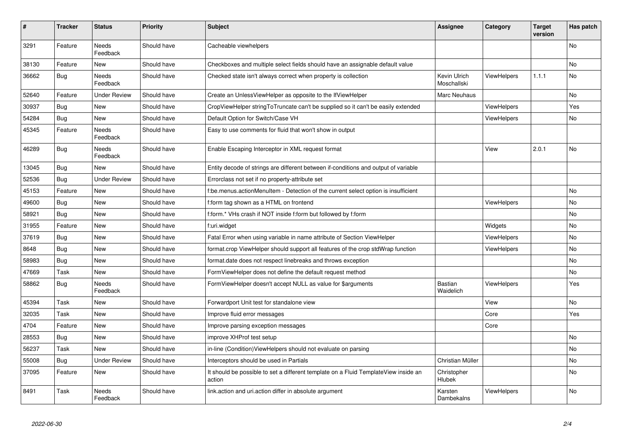| #     | <b>Tracker</b> | <b>Status</b>       | <b>Priority</b> | <b>Subject</b>                                                                                | <b>Assignee</b>             | Category           | <b>Target</b><br>version | Has patch |
|-------|----------------|---------------------|-----------------|-----------------------------------------------------------------------------------------------|-----------------------------|--------------------|--------------------------|-----------|
| 3291  | Feature        | Needs<br>Feedback   | Should have     | Cacheable viewhelpers                                                                         |                             |                    |                          | <b>No</b> |
| 38130 | Feature        | New                 | Should have     | Checkboxes and multiple select fields should have an assignable default value                 |                             |                    |                          | <b>No</b> |
| 36662 | Bug            | Needs<br>Feedback   | Should have     | Checked state isn't always correct when property is collection                                | Kevin Ulrich<br>Moschallski | <b>ViewHelpers</b> | 1.1.1                    | <b>No</b> |
| 52640 | Feature        | <b>Under Review</b> | Should have     | Create an UnlessViewHelper as opposite to the IfViewHelper                                    | Marc Neuhaus                |                    |                          | No        |
| 30937 | Bug            | <b>New</b>          | Should have     | CropViewHelper stringToTruncate can't be supplied so it can't be easily extended              |                             | <b>ViewHelpers</b> |                          | Yes       |
| 54284 | Bug            | New                 | Should have     | Default Option for Switch/Case VH                                                             |                             | <b>ViewHelpers</b> |                          | No        |
| 45345 | Feature        | Needs<br>Feedback   | Should have     | Easy to use comments for fluid that won't show in output                                      |                             |                    |                          |           |
| 46289 | <b>Bug</b>     | Needs<br>Feedback   | Should have     | Enable Escaping Interceptor in XML request format                                             |                             | View               | 2.0.1                    | <b>No</b> |
| 13045 | <b>Bug</b>     | New                 | Should have     | Entity decode of strings are different between if-conditions and output of variable           |                             |                    |                          |           |
| 52536 | Bug            | <b>Under Review</b> | Should have     | Errorclass not set if no property-attribute set                                               |                             |                    |                          |           |
| 45153 | Feature        | New                 | Should have     | f:be.menus.actionMenuItem - Detection of the current select option is insufficient            |                             |                    |                          | No        |
| 49600 | <b>Bug</b>     | New                 | Should have     | f:form tag shown as a HTML on frontend                                                        |                             | <b>ViewHelpers</b> |                          | <b>No</b> |
| 58921 | <b>Bug</b>     | New                 | Should have     | f:form.* VHs crash if NOT inside f:form but followed by f:form                                |                             |                    |                          | No        |
| 31955 | Feature        | New                 | Should have     | f:uri.widget                                                                                  |                             | Widgets            |                          | No        |
| 37619 | Bug            | New                 | Should have     | Fatal Error when using variable in name attribute of Section ViewHelper                       |                             | <b>ViewHelpers</b> |                          | <b>No</b> |
| 8648  | Bug            | New                 | Should have     | format.crop ViewHelper should support all features of the crop stdWrap function               |                             | <b>ViewHelpers</b> |                          | No        |
| 58983 | <b>Bug</b>     | New                 | Should have     | format.date does not respect linebreaks and throws exception                                  |                             |                    |                          | No        |
| 47669 | Task           | New                 | Should have     | FormViewHelper does not define the default request method                                     |                             |                    |                          | No        |
| 58862 | Bug            | Needs<br>Feedback   | Should have     | FormViewHelper doesn't accept NULL as value for \$arguments                                   | <b>Bastian</b><br>Waidelich | <b>ViewHelpers</b> |                          | Yes       |
| 45394 | Task           | New                 | Should have     | Forwardport Unit test for standalone view                                                     |                             | View               |                          | No        |
| 32035 | Task           | New                 | Should have     | Improve fluid error messages                                                                  |                             | Core               |                          | Yes       |
| 4704  | Feature        | New                 | Should have     | Improve parsing exception messages                                                            |                             | Core               |                          |           |
| 28553 | <b>Bug</b>     | New                 | Should have     | improve XHProf test setup                                                                     |                             |                    |                          | No        |
| 56237 | Task           | New                 | Should have     | in-line (Condition)ViewHelpers should not evaluate on parsing                                 |                             |                    |                          | No        |
| 55008 | <b>Bug</b>     | Under Review        | Should have     | Interceptors should be used in Partials                                                       | Christian Müller            |                    |                          | No        |
| 37095 | Feature        | New                 | Should have     | It should be possible to set a different template on a Fluid TemplateView inside an<br>action | Christopher<br>Hlubek       |                    |                          | No        |
| 8491  | Task           | Needs<br>Feedback   | Should have     | link.action and uri.action differ in absolute argument                                        | Karsten<br>Dambekalns       | ViewHelpers        |                          | <b>No</b> |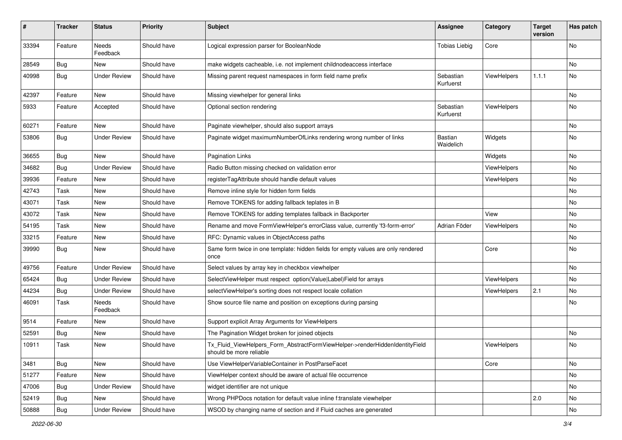| #     | <b>Tracker</b> | <b>Status</b>            | <b>Priority</b> | <b>Subject</b>                                                                                         | <b>Assignee</b>        | Category           | <b>Target</b><br>version | Has patch |
|-------|----------------|--------------------------|-----------------|--------------------------------------------------------------------------------------------------------|------------------------|--------------------|--------------------------|-----------|
| 33394 | Feature        | <b>Needs</b><br>Feedback | Should have     | Logical expression parser for BooleanNode                                                              | <b>Tobias Liebig</b>   | Core               |                          | <b>No</b> |
| 28549 | <b>Bug</b>     | New                      | Should have     | make widgets cacheable, i.e. not implement childnodeaccess interface                                   |                        |                    |                          | No        |
| 40998 | Bug            | <b>Under Review</b>      | Should have     | Missing parent request namespaces in form field name prefix                                            | Sebastian<br>Kurfuerst | ViewHelpers        | 1.1.1                    | No        |
| 42397 | Feature        | <b>New</b>               | Should have     | Missing viewhelper for general links                                                                   |                        |                    |                          | No        |
| 5933  | Feature        | Accepted                 | Should have     | Optional section rendering                                                                             | Sebastian<br>Kurfuerst | ViewHelpers        |                          | No        |
| 60271 | Feature        | New                      | Should have     | Paginate viewhelper, should also support arrays                                                        |                        |                    |                          | No        |
| 53806 | Bug            | <b>Under Review</b>      | Should have     | Paginate widget maximumNumberOfLinks rendering wrong number of links                                   | Bastian<br>Waidelich   | Widgets            |                          | No        |
| 36655 | Bug            | New                      | Should have     | <b>Pagination Links</b>                                                                                |                        | Widgets            |                          | No        |
| 34682 | Bug            | <b>Under Review</b>      | Should have     | Radio Button missing checked on validation error                                                       |                        | <b>ViewHelpers</b> |                          | No        |
| 39936 | Feature        | New                      | Should have     | registerTagAttribute should handle default values                                                      |                        | ViewHelpers        |                          | No        |
| 42743 | Task           | New                      | Should have     | Remove inline style for hidden form fields                                                             |                        |                    |                          | No        |
| 43071 | Task           | New                      | Should have     | Remove TOKENS for adding fallback teplates in B                                                        |                        |                    |                          | No        |
| 43072 | Task           | New                      | Should have     | Remove TOKENS for adding templates fallback in Backporter                                              |                        | View               |                          | No        |
| 54195 | Task           | New                      | Should have     | Rename and move FormViewHelper's errorClass value, currently 'f3-form-error'                           | Adrian Föder           | ViewHelpers        |                          | No        |
| 33215 | Feature        | New                      | Should have     | RFC: Dynamic values in ObjectAccess paths                                                              |                        |                    |                          | No        |
| 39990 | Bug            | New                      | Should have     | Same form twice in one template: hidden fields for empty values are only rendered<br>once              |                        | Core               |                          | No        |
| 49756 | Feature        | <b>Under Review</b>      | Should have     | Select values by array key in checkbox viewhelper                                                      |                        |                    |                          | <b>No</b> |
| 65424 | Bug            | <b>Under Review</b>      | Should have     | SelectViewHelper must respect option(Value Label)Field for arrays                                      |                        | ViewHelpers        |                          | No        |
| 44234 | Bug            | <b>Under Review</b>      | Should have     | selectViewHelper's sorting does not respect locale collation                                           |                        | ViewHelpers        | 2.1                      | No        |
| 46091 | Task           | Needs<br>Feedback        | Should have     | Show source file name and position on exceptions during parsing                                        |                        |                    |                          | No        |
| 9514  | Feature        | New                      | Should have     | Support explicit Array Arguments for ViewHelpers                                                       |                        |                    |                          |           |
| 52591 | Bug            | New                      | Should have     | The Pagination Widget broken for joined objects                                                        |                        |                    |                          | No        |
| 10911 | Task           | New                      | Should have     | Tx_Fluid_ViewHelpers_Form_AbstractFormViewHelper->renderHiddenIdentityField<br>should be more reliable |                        | ViewHelpers        |                          | No        |
| 3481  | Bug            | New                      | Should have     | Use ViewHelperVariableContainer in PostParseFacet                                                      |                        | Core               |                          | No        |
| 51277 | Feature        | New                      | Should have     | ViewHelper context should be aware of actual file occurrence                                           |                        |                    |                          | No        |
| 47006 | Bug            | <b>Under Review</b>      | Should have     | widget identifier are not unique                                                                       |                        |                    |                          | No        |
| 52419 | <b>Bug</b>     | New                      | Should have     | Wrong PHPDocs notation for default value inline f:translate viewhelper                                 |                        |                    | 2.0                      | No        |
| 50888 | Bug            | <b>Under Review</b>      | Should have     | WSOD by changing name of section and if Fluid caches are generated                                     |                        |                    |                          | No        |